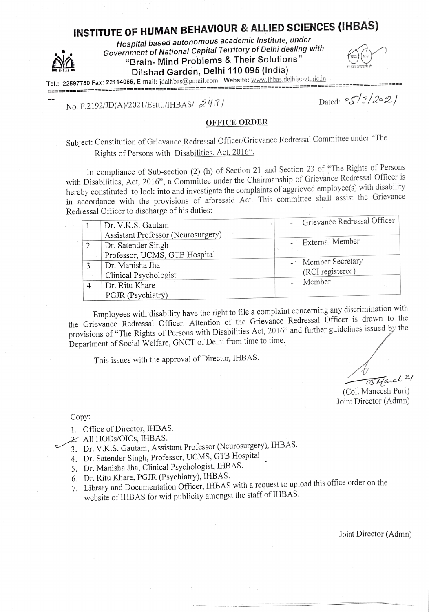# INSTITUTE OF HUMAN BEHAVIOUR & ALLIED SCIENCES (IHBAS)

Hospital based autonomous academic Institute, under Government of National Capital Territory of Delhi dealing with "Brain-Mind Problems & Their Solutions" Dilshad Garden, Delhi 110 095 (India)

| एत           |   |
|--------------|---|
| हरून स्वच्छत | ٠ |

 $T_{c1}$ : 22597750 Fax: 22114066, E-mail: jdaihbas@gmail.com Website: www.ihbas.delhigovt.nic.ill -->==>>ES::===: ====::\*==:====SSSSS=\*S>\*\*<===<=====

 $=$  $=$ 

No. F.2192/JD(A)/2021/Esttt./IHBAS/  $2\dot{y}$  /3

OFFICE ORDER

Subject: Constitution of Grievance Redressal Officer/Grievance Redressal Committee under "The Rights of Persons with Disabilities, Act, 2016

In compliance of Sub-section (2) (h) of Section 21 and Section 23 of "The Rights of Persons with Disabilities, Act, 2016", a Committee under the Chairmanship of Grievance Redressal Officer is hereby constituted to look into and investigate the complaints of aggrieved employee(s) with disability in accordance with the provisions of aforesaid Act. This committee shall assist the Grievance Redressal Officer to discharge of his duties:

| Dr. V.K.S. Gautam                  | Grievance Redressal Officer |
|------------------------------------|-----------------------------|
| Assistant Professor (Neurosurgery) |                             |
| Dr. Satender Singh                 | - External Member           |
| Professor, UCMS, GTB Hospital      |                             |
| Dr. Manisha Jha                    | - Member Secretary          |
| Clinical Psychologist              | (RCI registered)            |
| Dr. Ritu Khare                     | Member                      |
| PGJR (Psychiatry)                  |                             |

Employees with disability have the right to file a complaint concerning any discrimination with the Grievance Redressal Officer. Attention of the Grievance Redressal Officer is drawn to the provisions of "The Rights of Persons with Disabilities Act, 2016" and further guidelines issued by the Department of Social Welfare, GNCT of Delhi from time to time.

This issues with the approval of Director, IHBAS.

o3 arch 2/

(Col. Maneesh Puri) Joint Director (Admn)

Copy:

1. Office of Director, IHBAS.

2. All HODs/OICs, IHBAS.

Dr. V.K.S. Gautam, Assistant Professor (Neurosurgery). IHBAS.

- 4. Dr. Satender Singh, Professor, UCMS, GTB Hospital
- 5. Dr. Manisha Jha, Clinical Psychologist, IHBAS.
- 6. Dr. Ritu Khare, PGJR (Psychiatry), IHBAS.
- 7. Library and Documentation Officer, IHBAS with a request to upload this office order on the website of IHBAS for wid publicity amongst the staff of IHBAS.

Joint Director (Admn)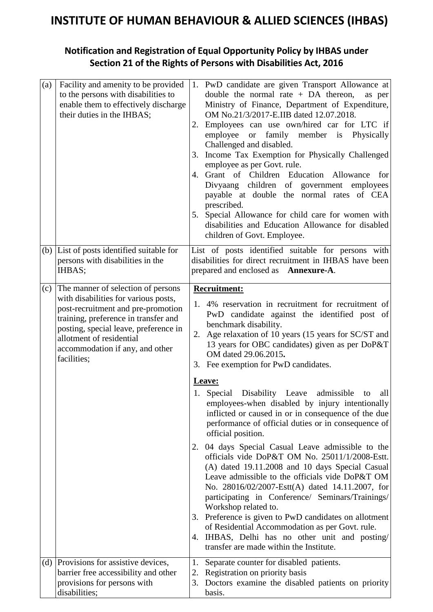### **INSTITUTE OF HUMAN BEHAVIOUR & ALLIED SCIENCES (IHBAS)**

#### **Notification and Registration of Equal Opportunity Policy by IHBAS under Section 21 of the Rights of Persons with Disabilities Act, 2016**

| (a) | Facility and amenity to be provided<br>to the persons with disabilities to<br>enable them to effectively discharge<br>their duties in the IHBAS;                                                                                                                                | 1. PwD candidate are given Transport Allowance at<br>double the normal rate $+$ DA thereon,<br>as per<br>Ministry of Finance, Department of Expenditure,<br>OM No.21/3/2017-E.IIB dated 12.07.2018.<br>Employees can use own/hired car for LTC if<br>employee<br>family member is Physically<br><sub>or</sub><br>Challenged and disabled.<br>3. Income Tax Exemption for Physically Challenged<br>employee as per Govt. rule.<br>4. Grant of Children Education Allowance for<br>Divyaang children of government employees<br>payable at double the normal rates of CEA<br>prescribed.<br>5. Special Allowance for child care for women with<br>disabilities and Education Allowance for disabled<br>children of Govt. Employee.                                                                                                                                                                                                       |
|-----|---------------------------------------------------------------------------------------------------------------------------------------------------------------------------------------------------------------------------------------------------------------------------------|----------------------------------------------------------------------------------------------------------------------------------------------------------------------------------------------------------------------------------------------------------------------------------------------------------------------------------------------------------------------------------------------------------------------------------------------------------------------------------------------------------------------------------------------------------------------------------------------------------------------------------------------------------------------------------------------------------------------------------------------------------------------------------------------------------------------------------------------------------------------------------------------------------------------------------------|
|     | (b) List of posts identified suitable for<br>persons with disabilities in the<br>IHBAS;                                                                                                                                                                                         | List of posts identified suitable for persons with<br>disabilities for direct recruitment in IHBAS have been<br>prepared and enclosed as <b>Annexure-A</b> .                                                                                                                                                                                                                                                                                                                                                                                                                                                                                                                                                                                                                                                                                                                                                                           |
| (c) | The manner of selection of persons<br>with disabilities for various posts,<br>post-recruitment and pre-promotion<br>training, preference in transfer and<br>posting, special leave, preference in<br>allotment of residential<br>accommodation if any, and other<br>facilities; | <b>Recruitment:</b><br>1. 4% reservation in recruitment for recruitment of<br>PwD candidate against the identified post of<br>benchmark disability.<br>2. Age relaxation of 10 years (15 years for SC/ST and<br>13 years for OBC candidates) given as per DoP&T<br>OM dated 29.06.2015.<br>3. Fee exemption for PwD candidates.<br>Leave:<br>1. Special Disability Leave admissible<br>all<br>to<br>employees-when disabled by injury intentionally<br>inflicted or caused in or in consequence of the due<br>performance of official duties or in consequence of<br>official position.<br>04 days Special Casual Leave admissible to the<br>2.<br>officials vide DoP&T OM No. 25011/1/2008-Estt.<br>(A) dated 19.11.2008 and 10 days Special Casual<br>Leave admissible to the officials vide DoP&T OM<br>No. 28016/02/2007-Estt(A) dated 14.11.2007, for<br>participating in Conference/ Seminars/Trainings/<br>Workshop related to. |
|     |                                                                                                                                                                                                                                                                                 | 3. Preference is given to PwD candidates on allotment<br>of Residential Accommodation as per Govt. rule.<br>IHBAS, Delhi has no other unit and posting/<br>4.<br>transfer are made within the Institute.                                                                                                                                                                                                                                                                                                                                                                                                                                                                                                                                                                                                                                                                                                                               |
| (d) | Provisions for assistive devices,<br>barrier free accessibility and other<br>provisions for persons with<br>disabilities;                                                                                                                                                       | Separate counter for disabled patients.<br>1.<br>Registration on priority basis<br>2.<br>Doctors examine the disabled patients on priority<br>3.<br>basis.                                                                                                                                                                                                                                                                                                                                                                                                                                                                                                                                                                                                                                                                                                                                                                             |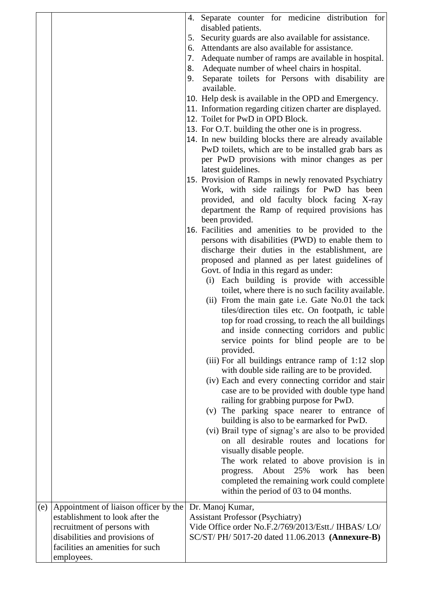|     |                                                                                                                                                                                             | 7.<br>8.<br>9. | 4. Separate counter for medicine distribution for<br>disabled patients.<br>5. Security guards are also available for assistance.<br>6. Attendants are also available for assistance.<br>Adequate number of ramps are available in hospital.<br>Adequate number of wheel chairs in hospital.<br>Separate toilets for Persons with disability are<br>available.<br>10. Help desk is available in the OPD and Emergency.<br>11. Information regarding citizen charter are displayed.<br>12. Toilet for PwD in OPD Block.<br>13. For O.T. building the other one is in progress.<br>14. In new building blocks there are already available<br>PwD toilets, which are to be installed grab bars as<br>per PwD provisions with minor changes as per<br>latest guidelines.<br>15. Provision of Ramps in newly renovated Psychiatry<br>Work, with side railings for PwD has been<br>provided, and old faculty block facing X-ray<br>department the Ramp of required provisions has<br>been provided.<br>16. Facilities and amenities to be provided to the<br>persons with disabilities (PWD) to enable them to<br>discharge their duties in the establishment, are<br>proposed and planned as per latest guidelines of<br>Govt. of India in this regard as under:<br>(i) Each building is provide with accessible<br>toilet, where there is no such facility available.<br>(ii) From the main gate i.e. Gate No.01 the tack<br>tiles/direction tiles etc. On footpath, ic table<br>top for road crossing, to reach the all buildings<br>and inside connecting corridors and public<br>service points for blind people are to be<br>provided.<br>(iii) For all buildings entrance ramp of 1:12 slop<br>with double side railing are to be provided.<br>(iv) Each and every connecting corridor and stair<br>case are to be provided with double type hand<br>railing for grabbing purpose for PwD.<br>(v) The parking space nearer to entrance of<br>building is also to be earmarked for PwD.<br>(vi) Brail type of signag's are also to be provided<br>on all desirable routes and locations for<br>visually disable people.<br>The work related to above provision is in<br>About 25%<br>work<br>has<br>been<br>progress.<br>completed the remaining work could complete<br>within the period of 03 to 04 months. |
|-----|---------------------------------------------------------------------------------------------------------------------------------------------------------------------------------------------|----------------|--------------------------------------------------------------------------------------------------------------------------------------------------------------------------------------------------------------------------------------------------------------------------------------------------------------------------------------------------------------------------------------------------------------------------------------------------------------------------------------------------------------------------------------------------------------------------------------------------------------------------------------------------------------------------------------------------------------------------------------------------------------------------------------------------------------------------------------------------------------------------------------------------------------------------------------------------------------------------------------------------------------------------------------------------------------------------------------------------------------------------------------------------------------------------------------------------------------------------------------------------------------------------------------------------------------------------------------------------------------------------------------------------------------------------------------------------------------------------------------------------------------------------------------------------------------------------------------------------------------------------------------------------------------------------------------------------------------------------------------------------------------------------------------------------------------------------------------------------------------------------------------------------------------------------------------------------------------------------------------------------------------------------------------------------------------------------------------------------------------------------------------------------------------------------------------------------------------------------------------------------------------------------------------------------------------|
| (e) | Appointment of liaison officer by the<br>establishment to look after the<br>recruitment of persons with<br>disabilities and provisions of<br>facilities an amenities for such<br>employees. |                | Dr. Manoj Kumar,<br><b>Assistant Professor (Psychiatry)</b><br>Vide Office order No.F.2/769/2013/Estt./ IHBAS/ LO/<br>SC/ST/ PH/ 5017-20 dated 11.06.2013 (Annexure-B)                                                                                                                                                                                                                                                                                                                                                                                                                                                                                                                                                                                                                                                                                                                                                                                                                                                                                                                                                                                                                                                                                                                                                                                                                                                                                                                                                                                                                                                                                                                                                                                                                                                                                                                                                                                                                                                                                                                                                                                                                                                                                                                                       |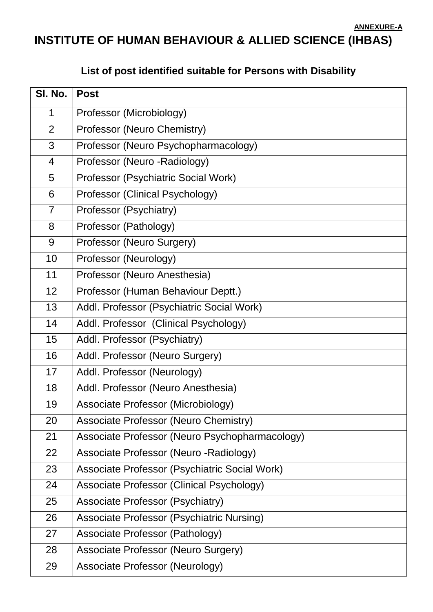#### **ANNEXURE-A**

## **INSTITUTE OF HUMAN BEHAVIOUR & ALLIED SCIENCE (IHBAS)**

#### **List of post identified suitable for Persons with Disability**

| SI. No.        | <b>Post</b>                                      |
|----------------|--------------------------------------------------|
| $\mathbf 1$    | Professor (Microbiology)                         |
| 2              | Professor (Neuro Chemistry)                      |
| 3              | Professor (Neuro Psychopharmacology)             |
| 4              | Professor (Neuro - Radiology)                    |
| 5              | Professor (Psychiatric Social Work)              |
| 6              | Professor (Clinical Psychology)                  |
| $\overline{7}$ | Professor (Psychiatry)                           |
| 8              | Professor (Pathology)                            |
| 9              | Professor (Neuro Surgery)                        |
| 10             | Professor (Neurology)                            |
| 11             | Professor (Neuro Anesthesia)                     |
| 12             | Professor (Human Behaviour Deptt.)               |
| 13             | Addl. Professor (Psychiatric Social Work)        |
| 14             | Addl. Professor (Clinical Psychology)            |
| 15             | Addl. Professor (Psychiatry)                     |
| 16             | Addl. Professor (Neuro Surgery)                  |
| 17             | Addl. Professor (Neurology)                      |
| 18             | Addl. Professor (Neuro Anesthesia)               |
| 19             | <b>Associate Professor (Microbiology)</b>        |
| 20             | <b>Associate Professor (Neuro Chemistry)</b>     |
| 21             | Associate Professor (Neuro Psychopharmacology)   |
| 22             | Associate Professor (Neuro - Radiology)          |
| 23             | Associate Professor (Psychiatric Social Work)    |
| 24             | Associate Professor (Clinical Psychology)        |
| 25             | <b>Associate Professor (Psychiatry)</b>          |
| 26             | <b>Associate Professor (Psychiatric Nursing)</b> |
| 27             | Associate Professor (Pathology)                  |
| 28             | <b>Associate Professor (Neuro Surgery)</b>       |
| 29             | Associate Professor (Neurology)                  |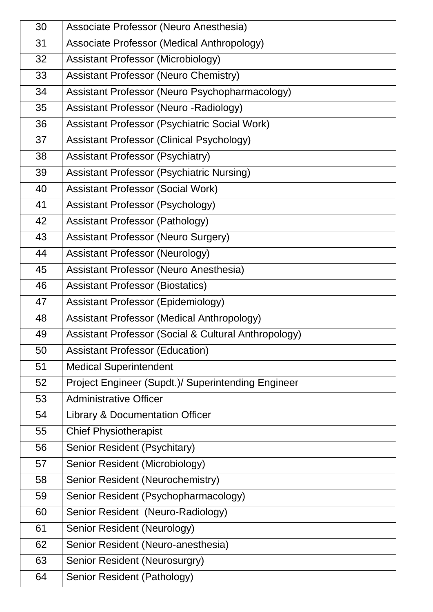| 30 | Associate Professor (Neuro Anesthesia)               |
|----|------------------------------------------------------|
| 31 | Associate Professor (Medical Anthropology)           |
| 32 | <b>Assistant Professor (Microbiology)</b>            |
| 33 | <b>Assistant Professor (Neuro Chemistry)</b>         |
| 34 | Assistant Professor (Neuro Psychopharmacology)       |
| 35 | <b>Assistant Professor (Neuro - Radiology)</b>       |
| 36 | Assistant Professor (Psychiatric Social Work)        |
| 37 | <b>Assistant Professor (Clinical Psychology)</b>     |
| 38 | <b>Assistant Professor (Psychiatry)</b>              |
| 39 | <b>Assistant Professor (Psychiatric Nursing)</b>     |
| 40 | <b>Assistant Professor (Social Work)</b>             |
| 41 | <b>Assistant Professor (Psychology)</b>              |
| 42 | <b>Assistant Professor (Pathology)</b>               |
| 43 | <b>Assistant Professor (Neuro Surgery)</b>           |
| 44 | <b>Assistant Professor (Neurology)</b>               |
| 45 | <b>Assistant Professor (Neuro Anesthesia)</b>        |
| 46 | <b>Assistant Professor (Biostatics)</b>              |
| 47 | <b>Assistant Professor (Epidemiology)</b>            |
| 48 | Assistant Professor (Medical Anthropology)           |
| 49 | Assistant Professor (Social & Cultural Anthropology) |
| 50 | <b>Assistant Professor (Education)</b>               |
| 51 | <b>Medical Superintendent</b>                        |
| 52 | Project Engineer (Supdt.)/ Superintending Engineer   |
| 53 | <b>Administrative Officer</b>                        |
| 54 | <b>Library &amp; Documentation Officer</b>           |
| 55 | <b>Chief Physiotherapist</b>                         |
| 56 | Senior Resident (Psychitary)                         |
| 57 | Senior Resident (Microbiology)                       |
| 58 | Senior Resident (Neurochemistry)                     |
| 59 | Senior Resident (Psychopharmacology)                 |
| 60 | Senior Resident (Neuro-Radiology)                    |
| 61 | Senior Resident (Neurology)                          |
| 62 | Senior Resident (Neuro-anesthesia)                   |
| 63 | Senior Resident (Neurosurgry)                        |
| 64 | Senior Resident (Pathology)                          |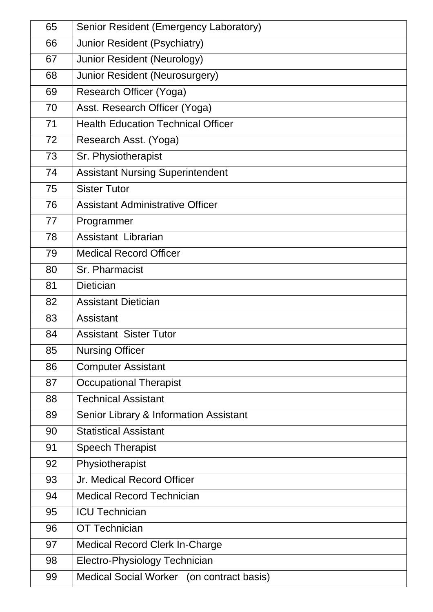| 65 | Senior Resident (Emergency Laboratory)    |
|----|-------------------------------------------|
| 66 | Junior Resident (Psychiatry)              |
| 67 | <b>Junior Resident (Neurology)</b>        |
| 68 | Junior Resident (Neurosurgery)            |
| 69 | Research Officer (Yoga)                   |
| 70 | Asst. Research Officer (Yoga)             |
| 71 | <b>Health Education Technical Officer</b> |
| 72 | Research Asst. (Yoga)                     |
| 73 | Sr. Physiotherapist                       |
| 74 | <b>Assistant Nursing Superintendent</b>   |
| 75 | <b>Sister Tutor</b>                       |
| 76 | <b>Assistant Administrative Officer</b>   |
| 77 | Programmer                                |
| 78 | Assistant Librarian                       |
| 79 | <b>Medical Record Officer</b>             |
| 80 | Sr. Pharmacist                            |
| 81 | <b>Dietician</b>                          |
| 82 | <b>Assistant Dietician</b>                |
| 83 | Assistant                                 |
| 84 | <b>Assistant Sister Tutor</b>             |
| 85 | <b>Nursing Officer</b>                    |
| 86 | <b>Computer Assistant</b>                 |
| 87 | <b>Occupational Therapist</b>             |
| 88 | <b>Technical Assistant</b>                |
| 89 | Senior Library & Information Assistant    |
| 90 | <b>Statistical Assistant</b>              |
| 91 | <b>Speech Therapist</b>                   |
| 92 | Physiotherapist                           |
| 93 | Jr. Medical Record Officer                |
| 94 | <b>Medical Record Technician</b>          |
| 95 | <b>ICU Technician</b>                     |
| 96 | <b>OT Technician</b>                      |
| 97 | <b>Medical Record Clerk In-Charge</b>     |
| 98 | Electro-Physiology Technician             |
| 99 | Medical Social Worker (on contract basis) |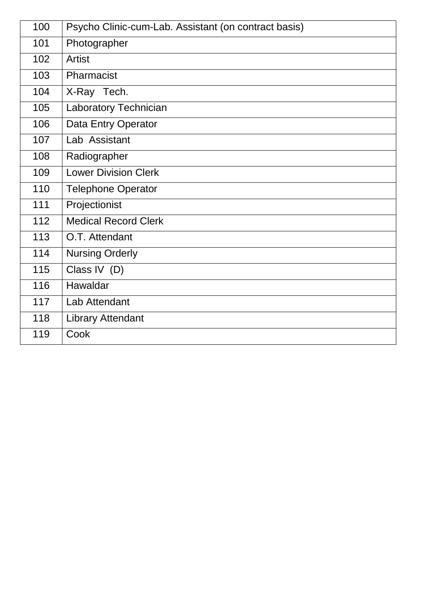| 100 | Psycho Clinic-cum-Lab. Assistant (on contract basis) |
|-----|------------------------------------------------------|
| 101 | Photographer                                         |
| 102 | <b>Artist</b>                                        |
| 103 | Pharmacist                                           |
| 104 | X-Ray Tech.                                          |
| 105 | <b>Laboratory Technician</b>                         |
| 106 | Data Entry Operator                                  |
| 107 | Lab Assistant                                        |
| 108 | Radiographer                                         |
| 109 | <b>Lower Division Clerk</b>                          |
| 110 | <b>Telephone Operator</b>                            |
| 111 | Projectionist                                        |
| 112 | <b>Medical Record Clerk</b>                          |
| 113 | O.T. Attendant                                       |
| 114 | <b>Nursing Orderly</b>                               |
| 115 | Class IV (D)                                         |
| 116 | Hawaldar                                             |
| 117 | Lab Attendant                                        |
| 118 | <b>Library Attendant</b>                             |
| 119 | Cook                                                 |